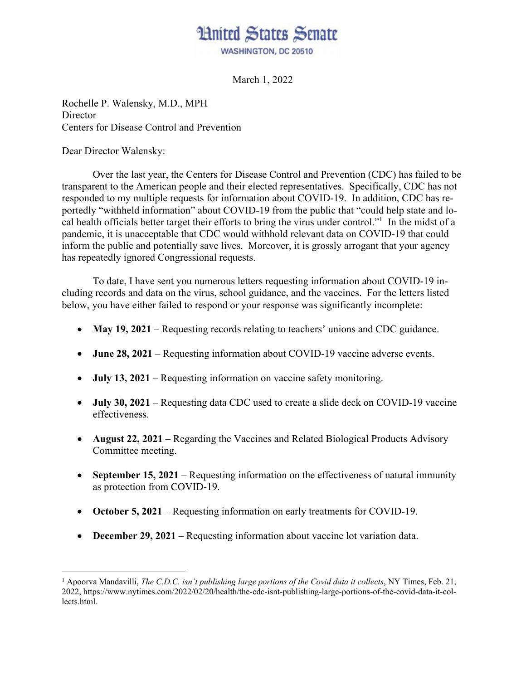## Hnited States Senate WASHINGTON, DC 20510

March 1, 2022

Rochelle P. Walensky, M.D., MPH **Director** Centers for Disease Control and Prevention

Dear Director Walensky:

 $\overline{a}$ 

 Over the last year, the Centers for Disease Control and Prevention (CDC) has failed to be transparent to the American people and their elected representatives. Specifically, CDC has not responded to my multiple requests for information about COVID-19. In addition, CDC has reportedly "withheld information" about COVID-19 from the public that "could help state and local health officials better target their efforts to bring the virus under control."<sup>1</sup> In the midst of a pandemic, it is unacceptable that CDC would withhold relevant data on COVID-19 that could inform the public and potentially save lives. Moreover, it is grossly arrogant that your agency has repeatedly ignored Congressional requests.

To date, I have sent you numerous letters requesting information about COVID-19 including records and data on the virus, school guidance, and the vaccines. For the letters listed below, you have either failed to respond or your response was significantly incomplete:

- **May 19, 2021** Requesting records relating to teachers' unions and CDC guidance.
- **June 28, 2021** Requesting information about COVID-19 vaccine adverse events.
- **July 13, 2021** Requesting information on vaccine safety monitoring.
- **July 30, 2021** Requesting data CDC used to create a slide deck on COVID-19 vaccine effectiveness.
- **August 22, 2021** Regarding the Vaccines and Related Biological Products Advisory Committee meeting.
- **September 15, 2021** Requesting information on the effectiveness of natural immunity as protection from COVID-19.
- **October 5, 2021** Requesting information on early treatments for COVID-19.
- **December 29, 2021** Requesting information about vaccine lot variation data.

<sup>&</sup>lt;sup>1</sup> Apoorva Mandavilli, *The C.D.C. isn't publishing large portions of the Covid data it collects*, NY Times, Feb. 21, 2022, https://www.nytimes.com/2022/02/20/health/the-cdc-isnt-publishing-large-portions-of-the-covid-data-it-collects.html.